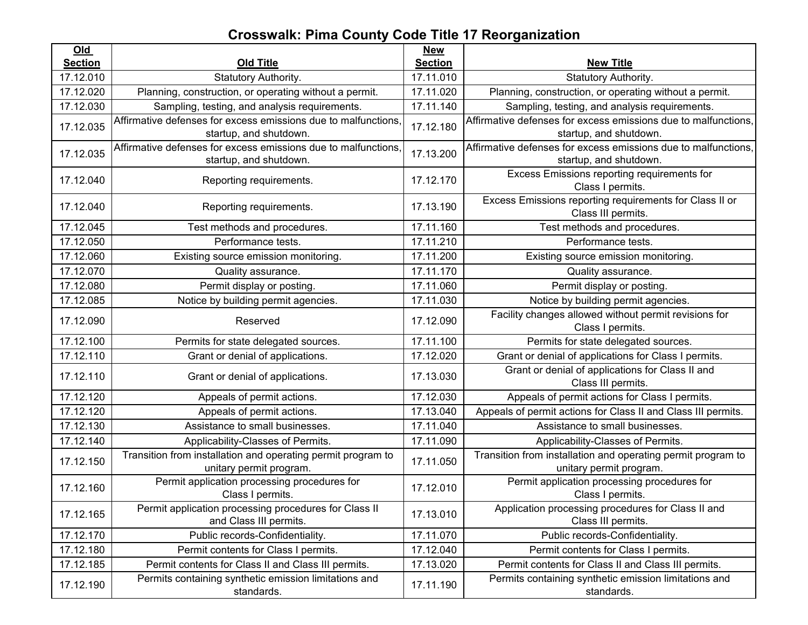## **Crosswalk: Pima County Code Title 17 Reorganization**

| $Old$          |                                                                                          | <b>New</b>     |                                                                                          |
|----------------|------------------------------------------------------------------------------------------|----------------|------------------------------------------------------------------------------------------|
| <b>Section</b> | <b>Old Title</b>                                                                         | <b>Section</b> | <b>New Title</b>                                                                         |
| 17.12.010      | Statutory Authority.                                                                     | 17.11.010      | Statutory Authority.                                                                     |
| 17.12.020      | Planning, construction, or operating without a permit.                                   | 17.11.020      | Planning, construction, or operating without a permit.                                   |
| 17.12.030      | Sampling, testing, and analysis requirements.                                            | 17.11.140      | Sampling, testing, and analysis requirements.                                            |
| 17.12.035      | Affirmative defenses for excess emissions due to malfunctions,<br>startup, and shutdown. | 17.12.180      | Affirmative defenses for excess emissions due to malfunctions,<br>startup, and shutdown. |
| 17.12.035      | Affirmative defenses for excess emissions due to malfunctions,<br>startup, and shutdown. | 17.13.200      | Affirmative defenses for excess emissions due to malfunctions,<br>startup, and shutdown. |
| 17.12.040      | Reporting requirements.                                                                  | 17.12.170      | Excess Emissions reporting requirements for<br>Class I permits.                          |
| 17.12.040      | Reporting requirements.                                                                  | 17.13.190      | Excess Emissions reporting requirements for Class II or<br>Class III permits.            |
| 17.12.045      | Test methods and procedures.                                                             | 17.11.160      | Test methods and procedures.                                                             |
| 17.12.050      | Performance tests.                                                                       | 17.11.210      | Performance tests.                                                                       |
| 17.12.060      | Existing source emission monitoring.                                                     | 17.11.200      | Existing source emission monitoring.                                                     |
| 17.12.070      | Quality assurance.                                                                       | 17.11.170      | Quality assurance.                                                                       |
| 17.12.080      | Permit display or posting.                                                               | 17.11.060      | Permit display or posting.                                                               |
| 17.12.085      | Notice by building permit agencies.                                                      | 17.11.030      | Notice by building permit agencies.                                                      |
| 17.12.090      | Reserved                                                                                 | 17.12.090      | Facility changes allowed without permit revisions for<br>Class I permits.                |
| 17.12.100      | Permits for state delegated sources.                                                     | 17.11.100      | Permits for state delegated sources.                                                     |
| 17.12.110      | Grant or denial of applications.                                                         | 17.12.020      | Grant or denial of applications for Class I permits.                                     |
| 17.12.110      | Grant or denial of applications.                                                         | 17.13.030      | Grant or denial of applications for Class II and<br>Class III permits.                   |
| 17.12.120      | Appeals of permit actions.                                                               | 17.12.030      | Appeals of permit actions for Class I permits.                                           |
| 17.12.120      | Appeals of permit actions.                                                               | 17.13.040      | Appeals of permit actions for Class II and Class III permits.                            |
| 17.12.130      | Assistance to small businesses.                                                          | 17.11.040      | Assistance to small businesses.                                                          |
| 17.12.140      | Applicability-Classes of Permits.                                                        | 17.11.090      | Applicability-Classes of Permits.                                                        |
| 17.12.150      | Transition from installation and operating permit program to<br>unitary permit program.  | 17.11.050      | Transition from installation and operating permit program to<br>unitary permit program.  |
| 17.12.160      | Permit application processing procedures for<br>Class I permits.                         | 17.12.010      | Permit application processing procedures for<br>Class I permits.                         |
| 17.12.165      | Permit application processing procedures for Class II<br>and Class III permits.          | 17.13.010      | Application processing procedures for Class II and<br>Class III permits.                 |
| 17.12.170      | Public records-Confidentiality.                                                          | 17.11.070      | Public records-Confidentiality.                                                          |
| 17.12.180      | Permit contents for Class I permits.                                                     | 17.12.040      | Permit contents for Class I permits.                                                     |
| 17.12.185      | Permit contents for Class II and Class III permits.                                      | 17.13.020      | Permit contents for Class II and Class III permits.                                      |
| 17.12.190      | Permits containing synthetic emission limitations and<br>standards.                      | 17.11.190      | Permits containing synthetic emission limitations and<br>standards.                      |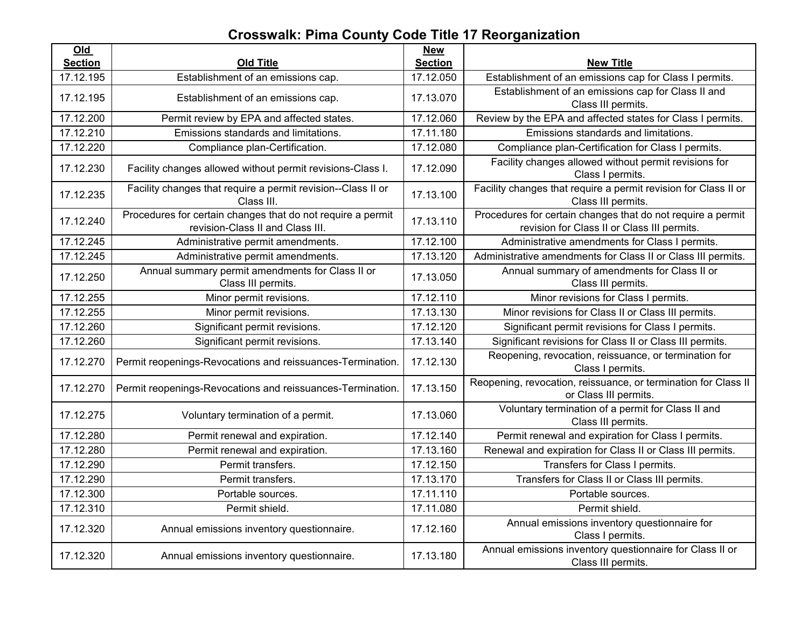## **Crosswalk: Pima County Code Title 17 Reorganization**

| Old            |                                                                                                 | <b>New</b>     |                                                                                                            |
|----------------|-------------------------------------------------------------------------------------------------|----------------|------------------------------------------------------------------------------------------------------------|
| <b>Section</b> | <b>Old Title</b>                                                                                | <b>Section</b> | <b>New Title</b>                                                                                           |
| 17.12.195      | Establishment of an emissions cap.                                                              | 17.12.050      | Establishment of an emissions cap for Class I permits.                                                     |
| 17.12.195      | Establishment of an emissions cap.                                                              | 17.13.070      | Establishment of an emissions cap for Class II and<br>Class III permits.                                   |
| 17.12.200      | Permit review by EPA and affected states.                                                       | 17.12.060      | Review by the EPA and affected states for Class I permits.                                                 |
| 17.12.210      | Emissions standards and limitations.                                                            | 17.11.180      | Emissions standards and limitations.                                                                       |
| 17.12.220      | Compliance plan-Certification.                                                                  | 17.12.080      | Compliance plan-Certification for Class I permits.                                                         |
| 17.12.230      | Facility changes allowed without permit revisions-Class I.                                      | 17.12.090      | Facility changes allowed without permit revisions for<br>Class I permits.                                  |
| 17.12.235      | Facility changes that require a permit revision--Class II or<br>Class III.                      | 17.13.100      | Facility changes that require a permit revision for Class II or<br>Class III permits.                      |
| 17.12.240      | Procedures for certain changes that do not require a permit<br>revision-Class II and Class III. | 17.13.110      | Procedures for certain changes that do not require a permit<br>revision for Class II or Class III permits. |
| 17.12.245      | Administrative permit amendments.                                                               | 17.12.100      | Administrative amendments for Class I permits.                                                             |
| 17.12.245      | Administrative permit amendments.                                                               | 17.13.120      | Administrative amendments for Class II or Class III permits.                                               |
| 17.12.250      | Annual summary permit amendments for Class II or<br>Class III permits.                          | 17.13.050      | Annual summary of amendments for Class II or<br>Class III permits.                                         |
| 17.12.255      | Minor permit revisions.                                                                         | 17.12.110      | Minor revisions for Class I permits.                                                                       |
| 17.12.255      | Minor permit revisions.                                                                         | 17.13.130      | Minor revisions for Class II or Class III permits.                                                         |
| 17.12.260      | Significant permit revisions.                                                                   | 17.12.120      | Significant permit revisions for Class I permits.                                                          |
| 17.12.260      | Significant permit revisions.                                                                   | 17.13.140      | Significant revisions for Class II or Class III permits.                                                   |
| 17.12.270      | Permit reopenings-Revocations and reissuances-Termination.                                      | 17.12.130      | Reopening, revocation, reissuance, or termination for<br>Class I permits.                                  |
| 17.12.270      | Permit reopenings-Revocations and reissuances-Termination.                                      | 17.13.150      | Reopening, revocation, reissuance, or termination for Class II<br>or Class III permits.                    |
| 17.12.275      | Voluntary termination of a permit.                                                              | 17.13.060      | Voluntary termination of a permit for Class II and<br>Class III permits.                                   |
| 17.12.280      | Permit renewal and expiration.                                                                  | 17.12.140      | Permit renewal and expiration for Class I permits.                                                         |
| 17.12.280      | Permit renewal and expiration.                                                                  | 17.13.160      | Renewal and expiration for Class II or Class III permits.                                                  |
| 17.12.290      | Permit transfers.                                                                               | 17.12.150      | Transfers for Class I permits.                                                                             |
| 17.12.290      | Permit transfers.                                                                               | 17.13.170      | Transfers for Class II or Class III permits.                                                               |
| 17.12.300      | Portable sources.                                                                               | 17.11.110      | Portable sources.                                                                                          |
| 17.12.310      | Permit shield.                                                                                  | 17.11.080      | Permit shield.                                                                                             |
| 17.12.320      | Annual emissions inventory questionnaire.                                                       | 17.12.160      | Annual emissions inventory questionnaire for<br>Class I permits.                                           |
| 17.12.320      | Annual emissions inventory questionnaire.                                                       | 17.13.180      | Annual emissions inventory questionnaire for Class II or<br>Class III permits.                             |